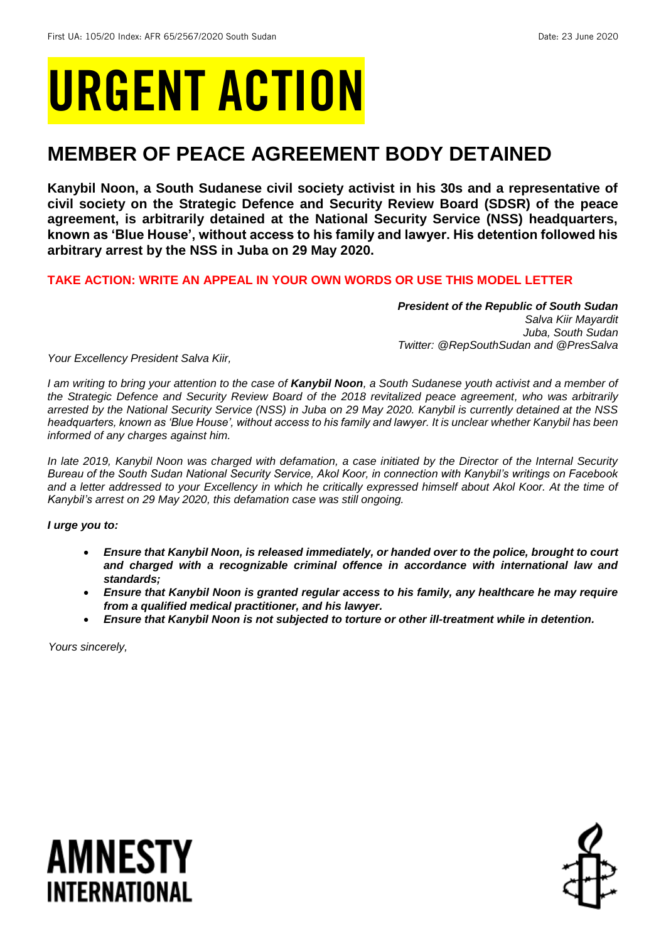# URGENT ACTION

## **MEMBER OF PEACE AGREEMENT BODY DETAINED**

**Kanybil Noon, a South Sudanese civil society activist in his 30s and a representative of civil society on the Strategic Defence and Security Review Board (SDSR) of the peace agreement, is arbitrarily detained at the National Security Service (NSS) headquarters, known as 'Blue House', without access to his family and lawyer. His detention followed his arbitrary arrest by the NSS in Juba on 29 May 2020.** 

## **TAKE ACTION: WRITE AN APPEAL IN YOUR OWN WORDS OR USE THIS MODEL LETTER**

*President of the Republic of South Sudan Salva Kiir Mayardit Juba, South Sudan Twitter: @RepSouthSudan and @PresSalva*

*Your Excellency President Salva Kiir,*

*I am writing to bring your attention to the case of Kanybil Noon, a South Sudanese youth activist and a member of the Strategic Defence and Security Review Board of the 2018 revitalized peace agreement, who was arbitrarily arrested by the National Security Service (NSS) in Juba on 29 May 2020. Kanybil is currently detained at the NSS headquarters, known as 'Blue House', without access to his family and lawyer. It is unclear whether Kanybil has been informed of any charges against him.*

*In late 2019, Kanybil Noon was charged with defamation, a case initiated by the Director of the Internal Security Bureau of the South Sudan National Security Service, Akol Koor, in connection with Kanybil's writings on Facebook*  and a letter addressed to your Excellency in which he critically expressed himself about Akol Koor. At the time of *Kanybil's arrest on 29 May 2020, this defamation case was still ongoing.*

*I urge you to:*

- *Ensure that Kanybil Noon, is released immediately, or handed over to the police, brought to court and charged with a recognizable criminal offence in accordance with international law and standards;*
- *Ensure that Kanybil Noon is granted regular access to his family, any healthcare he may require from a qualified medical practitioner, and his lawyer.*
- *Ensure that Kanybil Noon is not subjected to torture or other ill-treatment while in detention.*

*Yours sincerely,*